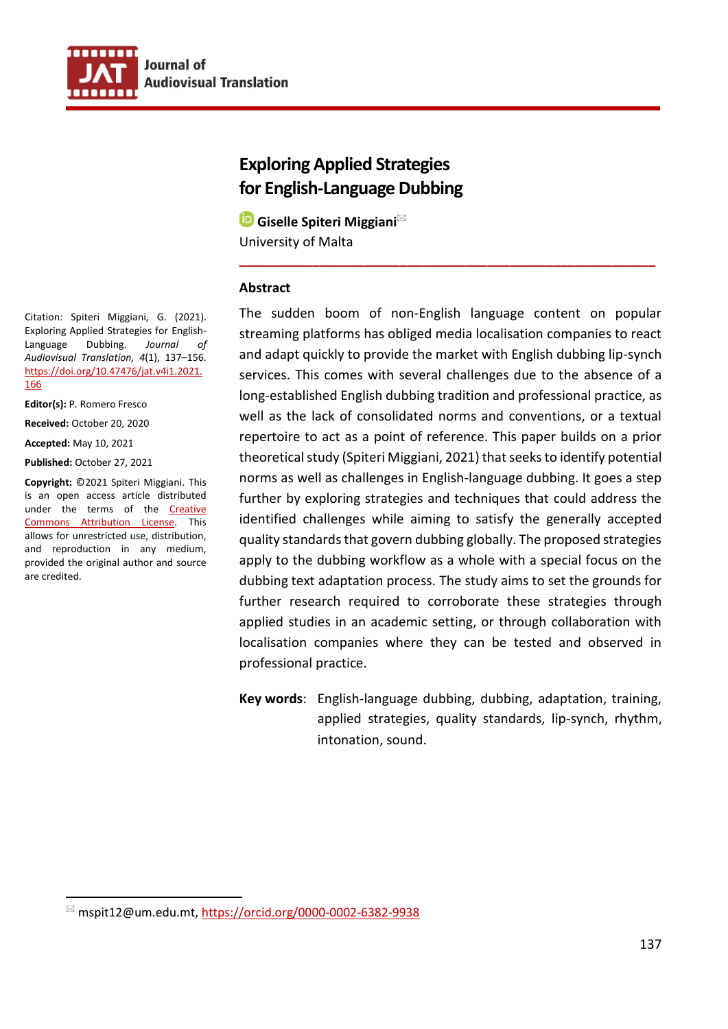

# **Exploring Applied Strategies for English-Language Dubbing**

**<b>■** Giselle Spiteri Miggiani<sup>⊠</sup> University of Malta

#### **Abstract**

The sudden boom of non-English language content on popular streaming platforms has obliged media localisation companies to react and adapt quickly to provide the market with English dubbing lip-synch services. This comes with several challenges due to the absence of a long-established English dubbing tradition and professional practice, as well as the lack of consolidated norms and conventions, or a textual repertoire to act as a point of reference. This paper builds on a prior theoretical study (Spiteri Miggiani, 2021) that seeks to identify potential norms as well as challenges in English-language dubbing. It goes a step further by exploring strategies and techniques that could address the identified challenges while aiming to satisfy the generally accepted quality standards that govern dubbing globally. The proposed strategies apply to the dubbing workflow as a whole with a special focus on the dubbing text adaptation process. The study aims to set the grounds for further research required to corroborate these strategies through applied studies in an academic setting, or through collaboration with localisation companies where they can be tested and observed in professional practice.

**\_\_\_\_\_\_\_\_\_\_\_\_\_\_\_\_\_\_\_\_\_\_\_\_\_\_\_\_\_\_\_\_\_\_\_\_\_\_\_\_\_\_\_\_\_\_\_\_\_\_\_\_\_\_\_\_\_**

**Key words**: English-language dubbing, dubbing, adaptation, training, applied strategies, quality standards, lip-synch, rhythm, intonation, sound.

Citation: Spiteri Miggiani, G. (2021). Exploring Applied Strategies for English-Language Dubbing. *Journal of Audiovisual Translation, 4*(1), 137–156. [https://doi.org/10.47476/jat.v4i1.2021.](https://doi.org/10.47476/jat.v4i1.2021.166) [166](https://doi.org/10.47476/jat.v4i1.2021.166)

**Editor(s):** P. Romero Fresco

**Received:** October 20, 2020

**Accepted:** May 10, 2021

**Published:** October 27, 2021

**Copyright:** ©2021 Spiteri Miggiani. This is an open access article distributed under the terms of the Creative [Commons Attribution License.](https://creativecommons.org/licenses/by/4.0/) This allows for unrestricted use, distribution, and reproduction in any medium, provided the original author and source are credited.

 $^{\boxtimes}$  mspit12@um.edu.mt,<https://orcid.org/0000-0002-6382-9938>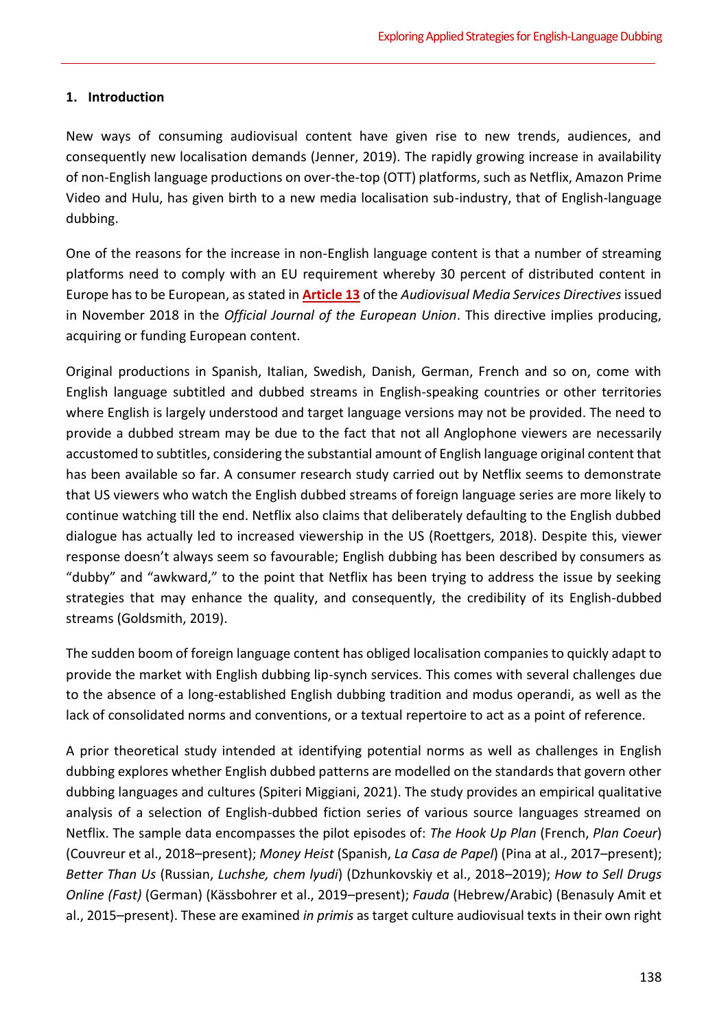# **1. Introduction**

New ways of consuming audiovisual content have given rise to new trends, audiences, and consequently new localisation demands (Jenner, 2019). The rapidly growing increase in availability of non-English language productions on over-the-top (OTT) platforms, such as Netflix, Amazon Prime Video and Hulu, has given birth to a new media localisation sub-industry, that of English-language dubbing.

One of the reasons for the increase in non-English language content is that a number of streaming platforms need to comply with an EU requirement whereby 30 percent of distributed content in Europe has to be European, as stated in **[Article 13](https://eur-lex.europa.eu/legal-content/EN/TXT/PDF/?uri=CELEX:32018L1808&from=EN)** of the *Audiovisual Media Services Directives* issued in November 2018 in the *Official Journal of the European Union*. This directive implies producing, acquiring or funding European content.

Original productions in Spanish, Italian, Swedish, Danish, German, French and so on, come with English language subtitled and dubbed streams in English-speaking countries or other territories where English is largely understood and target language versions may not be provided. The need to provide a dubbed stream may be due to the fact that not all Anglophone viewers are necessarily accustomed to subtitles, considering the substantial amount of English language original content that has been available so far. A consumer research study carried out by Netflix seems to demonstrate that US viewers who watch the English dubbed streams of foreign language series are more likely to continue watching till the end. Netflix also claims that deliberately defaulting to the English dubbed dialogue has actually led to increased viewership in the US (Roettgers, 2018). Despite this, viewer response doesn't always seem so favourable; English dubbing has been described by consumers as "dubby" and "awkward," to the point that Netflix has been trying to address the issue by seeking strategies that may enhance the quality, and consequently, the credibility of its English-dubbed streams (Goldsmith, 2019).

The sudden boom of foreign language content has obliged localisation companies to quickly adapt to provide the market with English dubbing lip-synch services. This comes with several challenges due to the absence of a long-established English dubbing tradition and modus operandi, as well as the lack of consolidated norms and conventions, or a textual repertoire to act as a point of reference.

A prior theoretical study intended at identifying potential norms as well as challenges in English dubbing explores whether English dubbed patterns are modelled on the standards that govern other dubbing languages and cultures (Spiteri Miggiani, 2021). The study provides an empirical qualitative analysis of a selection of English-dubbed fiction series of various source languages streamed on Netflix. The sample data encompasses the pilot episodes of: *The Hook Up Plan* (French, *Plan Coeur*) (Couvreur et al., 2018–present); *Money Heist* (Spanish, *La Casa de Papel*) (Pina at al., 2017–present); *Better Than Us* (Russian, *Luchshe, chem lyudi*) (Dzhunkovskiy et al., 2018–2019); *How to Sell Drugs Online (Fast)* (German) (Kässbohrer et al., 2019–present); *Fauda* (Hebrew/Arabic) (Benasuly Amit et al., 2015–present). These are examined *in primis* as target culture audiovisual texts in their own right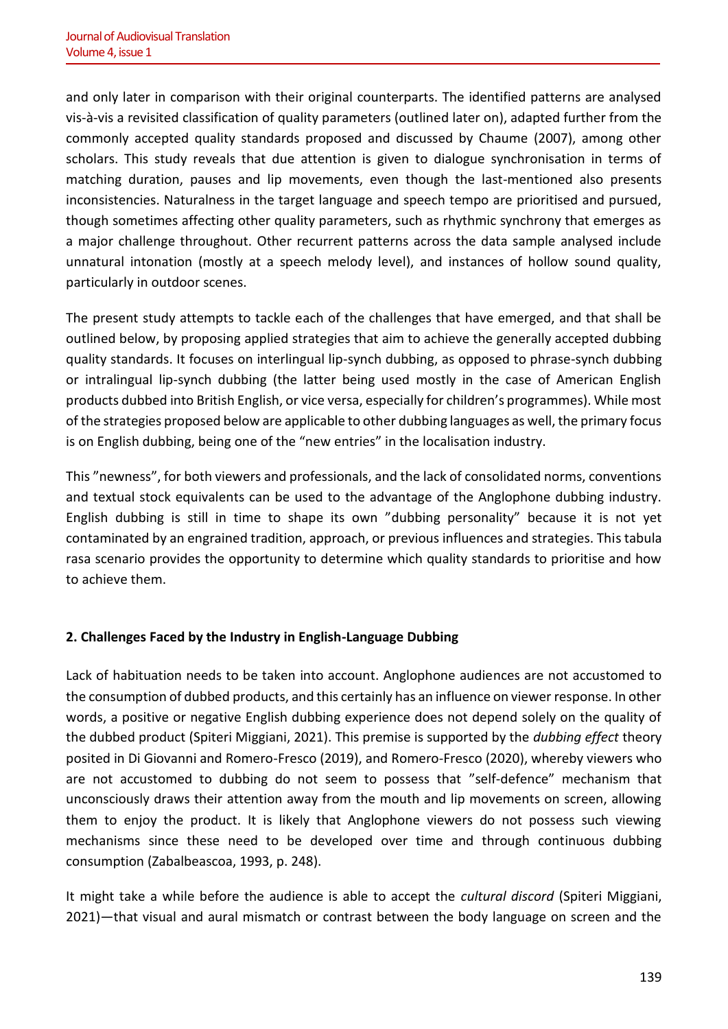and only later in comparison with their original counterparts. The identified patterns are analysed vis-à-vis a revisited classification of quality parameters (outlined later on), adapted further from the commonly accepted quality standards proposed and discussed by Chaume (2007), among other scholars. This study reveals that due attention is given to dialogue synchronisation in terms of matching duration, pauses and lip movements, even though the last-mentioned also presents inconsistencies. Naturalness in the target language and speech tempo are prioritised and pursued, though sometimes affecting other quality parameters, such as rhythmic synchrony that emerges as a major challenge throughout. Other recurrent patterns across the data sample analysed include unnatural intonation (mostly at a speech melody level), and instances of hollow sound quality, particularly in outdoor scenes.

The present study attempts to tackle each of the challenges that have emerged, and that shall be outlined below, by proposing applied strategies that aim to achieve the generally accepted dubbing quality standards. It focuses on interlingual lip-synch dubbing, as opposed to phrase-synch dubbing or intralingual lip-synch dubbing (the latter being used mostly in the case of American English products dubbed into British English, or vice versa, especially for children's programmes). While most of the strategies proposed below are applicable to other dubbing languages as well, the primary focus is on English dubbing, being one of the "new entries" in the localisation industry.

This "newness", for both viewers and professionals, and the lack of consolidated norms, conventions and textual stock equivalents can be used to the advantage of the Anglophone dubbing industry. English dubbing is still in time to shape its own "dubbing personality" because it is not yet contaminated by an engrained tradition, approach, or previous influences and strategies. This tabula rasa scenario provides the opportunity to determine which quality standards to prioritise and how to achieve them.

# **2. Challenges Faced by the Industry in English-Language Dubbing**

Lack of habituation needs to be taken into account. Anglophone audiences are not accustomed to the consumption of dubbed products, and this certainly has an influence on viewer response. In other words, a positive or negative English dubbing experience does not depend solely on the quality of the dubbed product (Spiteri Miggiani, 2021). This premise is supported by the *dubbing effect* theory posited in Di Giovanni and Romero-Fresco (2019), and Romero-Fresco (2020), whereby viewers who are not accustomed to dubbing do not seem to possess that "self-defence" mechanism that unconsciously draws their attention away from the mouth and lip movements on screen, allowing them to enjoy the product. It is likely that Anglophone viewers do not possess such viewing mechanisms since these need to be developed over time and through continuous dubbing consumption (Zabalbeascoa, 1993, p. 248).

It might take a while before the audience is able to accept the *cultural discord* (Spiteri Miggiani, 2021)—that visual and aural mismatch or contrast between the body language on screen and the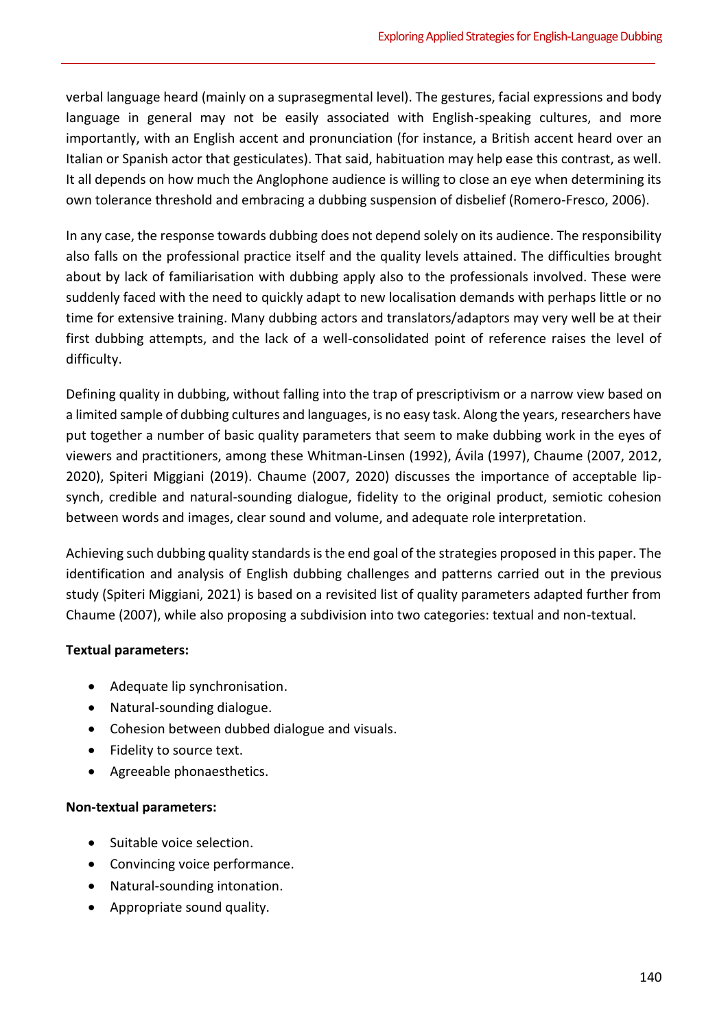verbal language heard (mainly on a suprasegmental level). The gestures, facial expressions and body language in general may not be easily associated with English-speaking cultures, and more importantly, with an English accent and pronunciation (for instance, a British accent heard over an Italian or Spanish actor that gesticulates). That said, habituation may help ease this contrast, as well. It all depends on how much the Anglophone audience is willing to close an eye when determining its own tolerance threshold and embracing a dubbing suspension of disbelief (Romero-Fresco, 2006).

In any case, the response towards dubbing does not depend solely on its audience. The responsibility also falls on the professional practice itself and the quality levels attained. The difficulties brought about by lack of familiarisation with dubbing apply also to the professionals involved. These were suddenly faced with the need to quickly adapt to new localisation demands with perhaps little or no time for extensive training. Many dubbing actors and translators/adaptors may very well be at their first dubbing attempts, and the lack of a well-consolidated point of reference raises the level of difficulty.

Defining quality in dubbing, without falling into the trap of prescriptivism or a narrow view based on a limited sample of dubbing cultures and languages, is no easy task. Along the years, researchers have put together a number of basic quality parameters that seem to make dubbing work in the eyes of viewers and practitioners, among these Whitman-Linsen (1992), Ávila (1997), Chaume (2007, 2012, 2020), Spiteri Miggiani (2019). Chaume (2007, 2020) discusses the importance of acceptable lipsynch, credible and natural-sounding dialogue, fidelity to the original product, semiotic cohesion between words and images, clear sound and volume, and adequate role interpretation.

Achieving such dubbing quality standards is the end goal of the strategies proposed in this paper. The identification and analysis of English dubbing challenges and patterns carried out in the previous study (Spiteri Miggiani, 2021) is based on a revisited list of quality parameters adapted further from Chaume (2007), while also proposing a subdivision into two categories: textual and non-textual.

# **Textual parameters:**

- Adequate lip synchronisation.
- Natural-sounding dialogue.
- Cohesion between dubbed dialogue and visuals.
- Fidelity to source text.
- Agreeable phonaesthetics.

# **Non-textual parameters:**

- Suitable voice selection.
- Convincing voice performance.
- Natural-sounding intonation.
- Appropriate sound quality.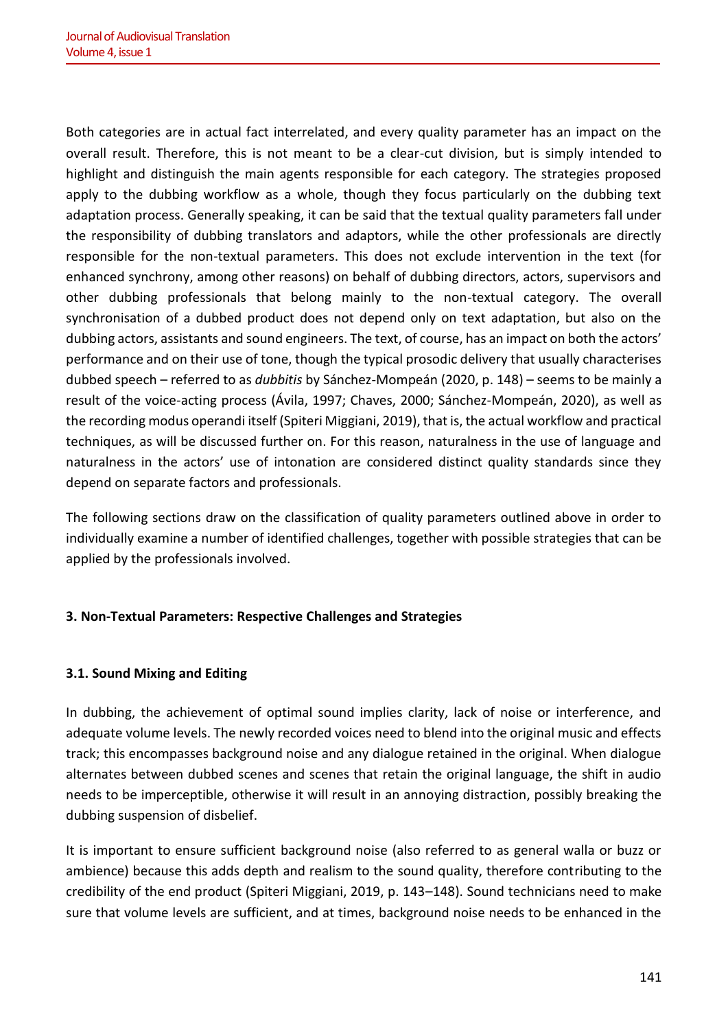Both categories are in actual fact interrelated, and every quality parameter has an impact on the overall result. Therefore, this is not meant to be a clear-cut division, but is simply intended to highlight and distinguish the main agents responsible for each category. The strategies proposed apply to the dubbing workflow as a whole, though they focus particularly on the dubbing text adaptation process. Generally speaking, it can be said that the textual quality parameters fall under the responsibility of dubbing translators and adaptors, while the other professionals are directly responsible for the non-textual parameters. This does not exclude intervention in the text (for enhanced synchrony, among other reasons) on behalf of dubbing directors, actors, supervisors and other dubbing professionals that belong mainly to the non-textual category. The overall synchronisation of a dubbed product does not depend only on text adaptation, but also on the dubbing actors, assistants and sound engineers. The text, of course, has an impact on both the actors' performance and on their use of tone, though the typical prosodic delivery that usually characterises dubbed speech – referred to as *dubbitis* by Sánchez-Mompeán (2020, p. 148) – seems to be mainly a result of the voice-acting process (Ávila, 1997; Chaves, 2000; Sánchez-Mompeán, 2020), as well as the recording modus operandi itself (Spiteri Miggiani, 2019), that is, the actual workflow and practical techniques, as will be discussed further on. For this reason, naturalness in the use of language and naturalness in the actors' use of intonation are considered distinct quality standards since they depend on separate factors and professionals.

The following sections draw on the classification of quality parameters outlined above in order to individually examine a number of identified challenges, together with possible strategies that can be applied by the professionals involved.

# **3. Non-Textual Parameters: Respective Challenges and Strategies**

# **3.1. Sound Mixing and Editing**

In dubbing, the achievement of optimal sound implies clarity, lack of noise or interference, and adequate volume levels. The newly recorded voices need to blend into the original music and effects track; this encompasses background noise and any dialogue retained in the original. When dialogue alternates between dubbed scenes and scenes that retain the original language, the shift in audio needs to be imperceptible, otherwise it will result in an annoying distraction, possibly breaking the dubbing suspension of disbelief.

It is important to ensure sufficient background noise (also referred to as general walla or buzz or ambience) because this adds depth and realism to the sound quality, therefore contributing to the credibility of the end product (Spiteri Miggiani, 2019, p. 143–148). Sound technicians need to make sure that volume levels are sufficient, and at times, background noise needs to be enhanced in the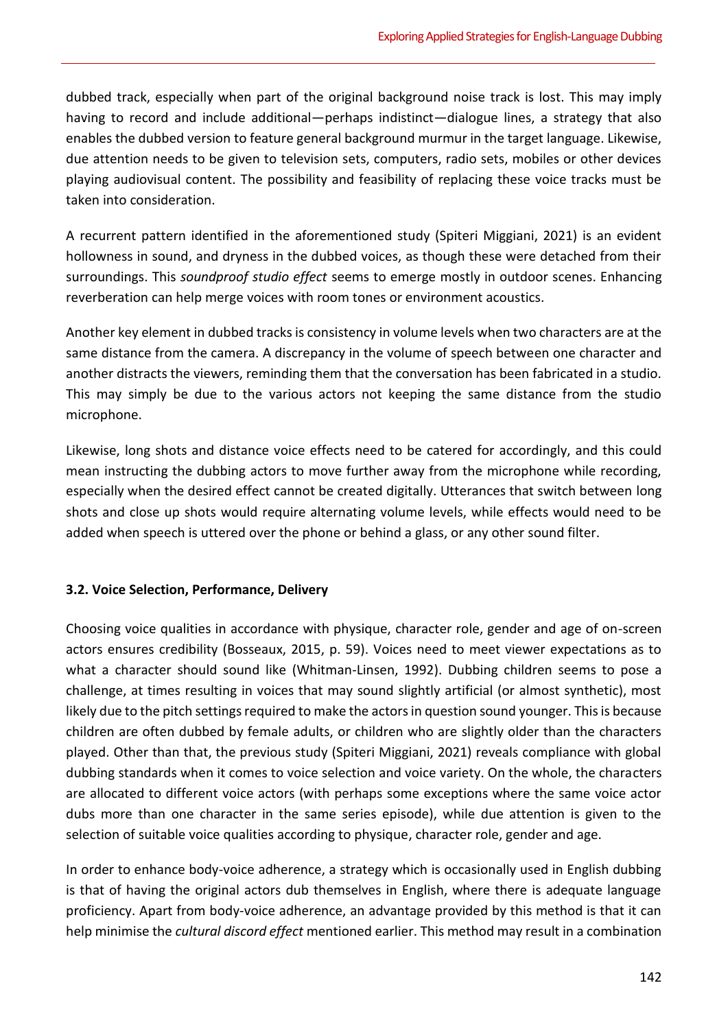dubbed track, especially when part of the original background noise track is lost. This may imply having to record and include additional—perhaps indistinct—dialogue lines, a strategy that also enables the dubbed version to feature general background murmur in the target language. Likewise, due attention needs to be given to television sets, computers, radio sets, mobiles or other devices playing audiovisual content. The possibility and feasibility of replacing these voice tracks must be taken into consideration.

A recurrent pattern identified in the aforementioned study (Spiteri Miggiani, 2021) is an evident hollowness in sound, and dryness in the dubbed voices, as though these were detached from their surroundings. This *soundproof studio effect* seems to emerge mostly in outdoor scenes. Enhancing reverberation can help merge voices with room tones or environment acoustics.

Another key element in dubbed tracks is consistency in volume levels when two characters are at the same distance from the camera. A discrepancy in the volume of speech between one character and another distracts the viewers, reminding them that the conversation has been fabricated in a studio. This may simply be due to the various actors not keeping the same distance from the studio microphone.

Likewise, long shots and distance voice effects need to be catered for accordingly, and this could mean instructing the dubbing actors to move further away from the microphone while recording, especially when the desired effect cannot be created digitally. Utterances that switch between long shots and close up shots would require alternating volume levels, while effects would need to be added when speech is uttered over the phone or behind a glass, or any other sound filter.

#### **3.2. Voice Selection, Performance, Delivery**

Choosing voice qualities in accordance with physique, character role, gender and age of on-screen actors ensures credibility (Bosseaux, 2015, p. 59). Voices need to meet viewer expectations as to what a character should sound like (Whitman-Linsen, 1992). Dubbing children seems to pose a challenge, at times resulting in voices that may sound slightly artificial (or almost synthetic), most likely due to the pitch settings required to make the actors in question sound younger. This is because children are often dubbed by female adults, or children who are slightly older than the characters played. Other than that, the previous study (Spiteri Miggiani, 2021) reveals compliance with global dubbing standards when it comes to voice selection and voice variety. On the whole, the characters are allocated to different voice actors (with perhaps some exceptions where the same voice actor dubs more than one character in the same series episode), while due attention is given to the selection of suitable voice qualities according to physique, character role, gender and age.

In order to enhance body-voice adherence, a strategy which is occasionally used in English dubbing is that of having the original actors dub themselves in English, where there is adequate language proficiency. Apart from body-voice adherence, an advantage provided by this method is that it can help minimise the *cultural discord effect* mentioned earlier. This method may result in a combination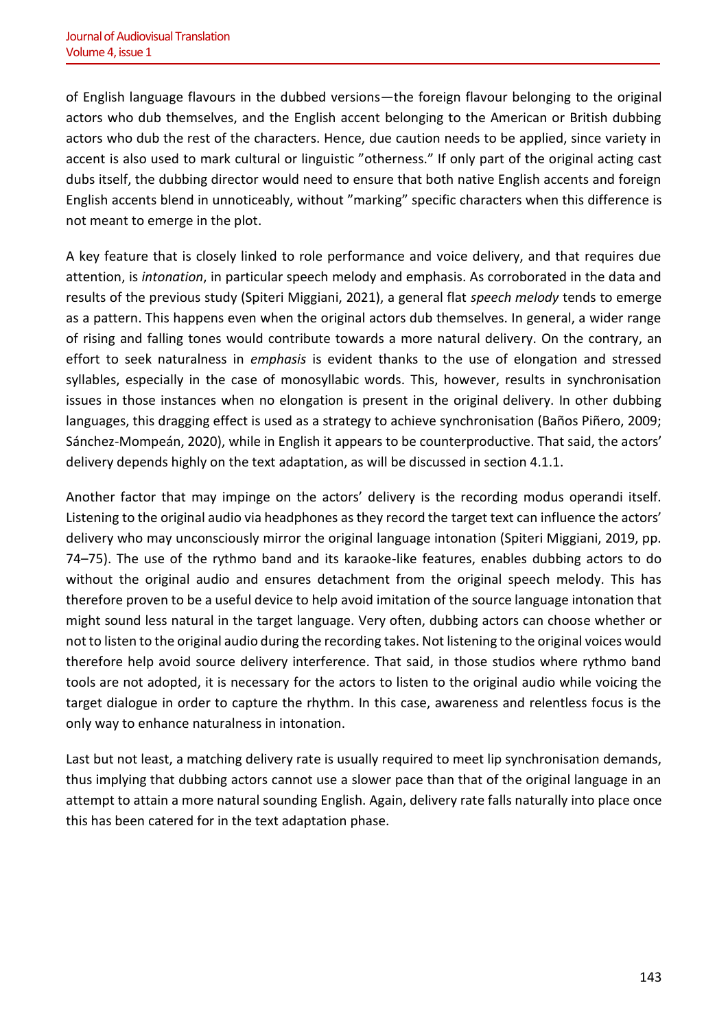of English language flavours in the dubbed versions—the foreign flavour belonging to the original actors who dub themselves, and the English accent belonging to the American or British dubbing actors who dub the rest of the characters. Hence, due caution needs to be applied, since variety in accent is also used to mark cultural or linguistic "otherness." If only part of the original acting cast dubs itself, the dubbing director would need to ensure that both native English accents and foreign English accents blend in unnoticeably, without "marking" specific characters when this difference is not meant to emerge in the plot.

A key feature that is closely linked to role performance and voice delivery, and that requires due attention, is *intonation*, in particular speech melody and emphasis. As corroborated in the data and results of the previous study (Spiteri Miggiani, 2021), a general flat *speech melody* tends to emerge as a pattern. This happens even when the original actors dub themselves. In general, a wider range of rising and falling tones would contribute towards a more natural delivery. On the contrary, an effort to seek naturalness in *emphasis* is evident thanks to the use of elongation and stressed syllables, especially in the case of monosyllabic words. This, however, results in synchronisation issues in those instances when no elongation is present in the original delivery. In other dubbing languages, this dragging effect is used as a strategy to achieve synchronisation (Baños Piñero, 2009; Sánchez-Mompeán, 2020), while in English it appears to be counterproductive. That said, the actors' delivery depends highly on the text adaptation, as will be discussed in section 4.1.1.

Another factor that may impinge on the actors' delivery is the recording modus operandi itself. Listening to the original audio via headphones as they record the target text can influence the actors' delivery who may unconsciously mirror the original language intonation (Spiteri Miggiani, 2019, pp. 74–75). The use of the rythmo band and its karaoke-like features, enables dubbing actors to do without the original audio and ensures detachment from the original speech melody. This has therefore proven to be a useful device to help avoid imitation of the source language intonation that might sound less natural in the target language. Very often, dubbing actors can choose whether or not to listen to the original audio during the recording takes. Not listening to the original voices would therefore help avoid source delivery interference. That said, in those studios where rythmo band tools are not adopted, it is necessary for the actors to listen to the original audio while voicing the target dialogue in order to capture the rhythm. In this case, awareness and relentless focus is the only way to enhance naturalness in intonation.

Last but not least, a matching delivery rate is usually required to meet lip synchronisation demands, thus implying that dubbing actors cannot use a slower pace than that of the original language in an attempt to attain a more natural sounding English. Again, delivery rate falls naturally into place once this has been catered for in the text adaptation phase.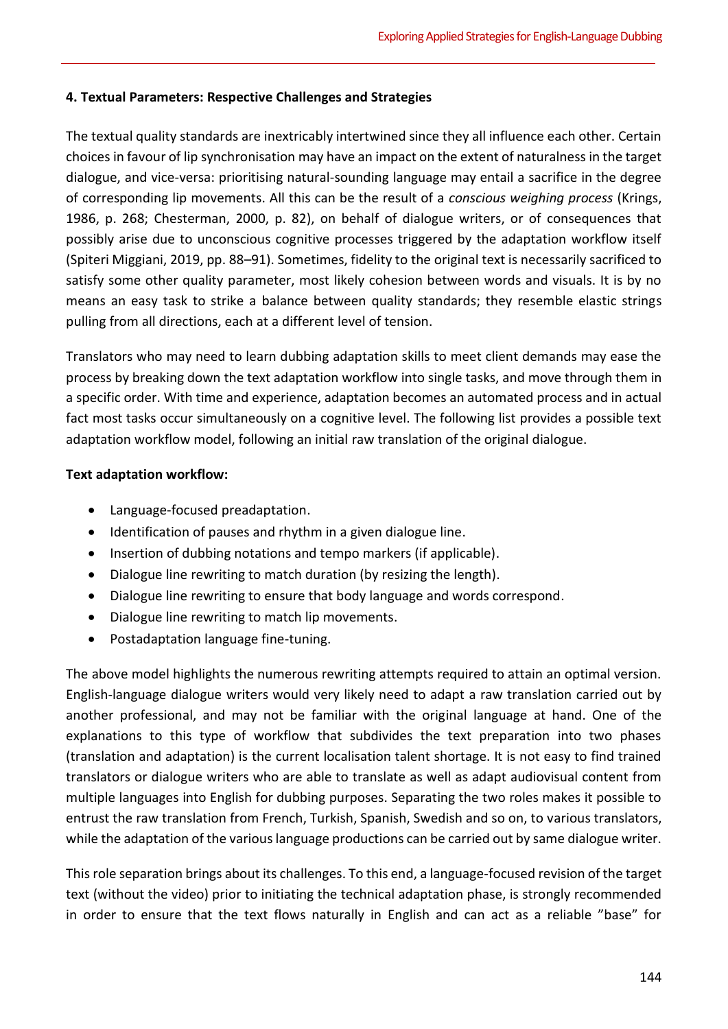# **4. Textual Parameters: Respective Challenges and Strategies**

The textual quality standards are inextricably intertwined since they all influence each other. Certain choices in favour of lip synchronisation may have an impact on the extent of naturalness in the target dialogue, and vice-versa: prioritising natural-sounding language may entail a sacrifice in the degree of corresponding lip movements. All this can be the result of a *conscious weighing process* (Krings, 1986, p. 268; Chesterman, 2000, p. 82), on behalf of dialogue writers, or of consequences that possibly arise due to unconscious cognitive processes triggered by the adaptation workflow itself (Spiteri Miggiani, 2019, pp. 88–91). Sometimes, fidelity to the original text is necessarily sacrificed to satisfy some other quality parameter, most likely cohesion between words and visuals. It is by no means an easy task to strike a balance between quality standards; they resemble elastic strings pulling from all directions, each at a different level of tension.

Translators who may need to learn dubbing adaptation skills to meet client demands may ease the process by breaking down the text adaptation workflow into single tasks, and move through them in a specific order. With time and experience, adaptation becomes an automated process and in actual fact most tasks occur simultaneously on a cognitive level. The following list provides a possible text adaptation workflow model, following an initial raw translation of the original dialogue.

## **Text adaptation workflow:**

- Language-focused preadaptation.
- Identification of pauses and rhythm in a given dialogue line.
- Insertion of dubbing notations and tempo markers (if applicable).
- Dialogue line rewriting to match duration (by resizing the length).
- Dialogue line rewriting to ensure that body language and words correspond.
- Dialogue line rewriting to match lip movements.
- Postadaptation language fine-tuning.

The above model highlights the numerous rewriting attempts required to attain an optimal version. English-language dialogue writers would very likely need to adapt a raw translation carried out by another professional, and may not be familiar with the original language at hand. One of the explanations to this type of workflow that subdivides the text preparation into two phases (translation and adaptation) is the current localisation talent shortage. It is not easy to find trained translators or dialogue writers who are able to translate as well as adapt audiovisual content from multiple languages into English for dubbing purposes. Separating the two roles makes it possible to entrust the raw translation from French, Turkish, Spanish, Swedish and so on, to various translators, while the adaptation of the various language productions can be carried out by same dialogue writer.

This role separation brings about its challenges. To this end, a language-focused revision of the target text (without the video) prior to initiating the technical adaptation phase, is strongly recommended in order to ensure that the text flows naturally in English and can act as a reliable "base" for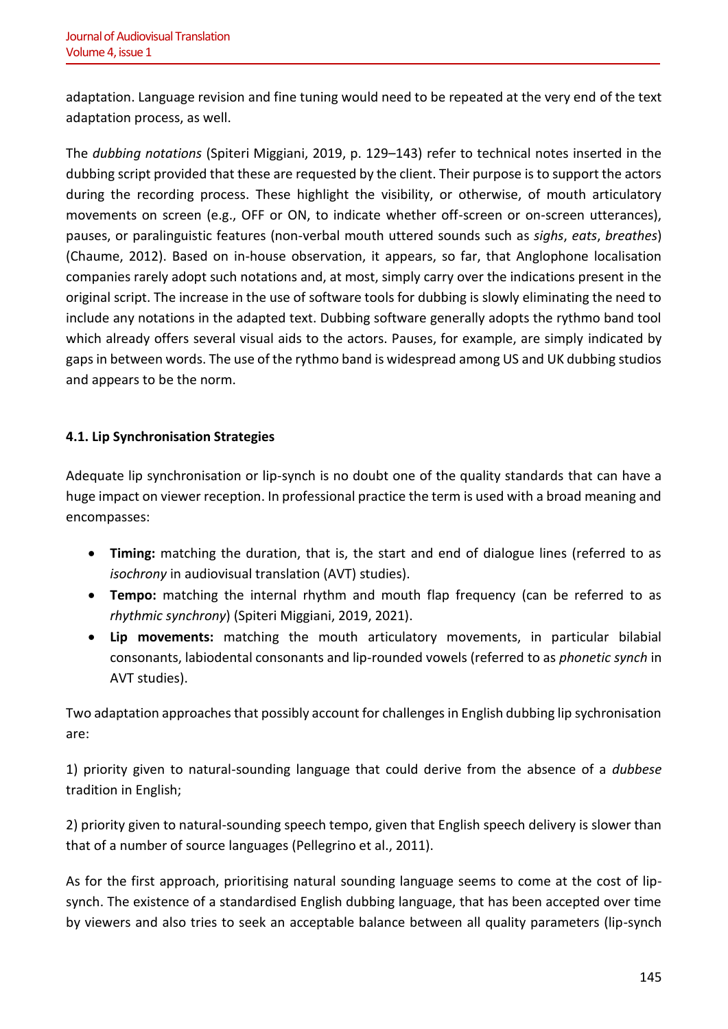adaptation. Language revision and fine tuning would need to be repeated at the very end of the text adaptation process, as well.

The *dubbing notations* (Spiteri Miggiani, 2019, p. 129–143) refer to technical notes inserted in the dubbing script provided that these are requested by the client. Their purpose is to support the actors during the recording process. These highlight the visibility, or otherwise, of mouth articulatory movements on screen (e.g., OFF or ON, to indicate whether off-screen or on-screen utterances), pauses, or paralinguistic features (non-verbal mouth uttered sounds such as *sighs*, *eats*, *breathes*) (Chaume, 2012). Based on in-house observation, it appears, so far, that Anglophone localisation companies rarely adopt such notations and, at most, simply carry over the indications present in the original script. The increase in the use of software tools for dubbing is slowly eliminating the need to include any notations in the adapted text. Dubbing software generally adopts the rythmo band tool which already offers several visual aids to the actors. Pauses, for example, are simply indicated by gaps in between words. The use of the rythmo band is widespread among US and UK dubbing studios and appears to be the norm.

# **4.1. Lip Synchronisation Strategies**

Adequate lip synchronisation or lip-synch is no doubt one of the quality standards that can have a huge impact on viewer reception. In professional practice the term is used with a broad meaning and encompasses:

- **Timing:** matching the duration, that is, the start and end of dialogue lines (referred to as *isochrony* in audiovisual translation (AVT) studies).
- **Tempo:** matching the internal rhythm and mouth flap frequency (can be referred to as *rhythmic synchrony*) (Spiteri Miggiani, 2019, 2021).
- **Lip movements:** matching the mouth articulatory movements, in particular bilabial consonants, labiodental consonants and lip-rounded vowels (referred to as *phonetic synch* in AVT studies).

Two adaptation approaches that possibly account for challenges in English dubbing lip sychronisation are:

1) priority given to natural-sounding language that could derive from the absence of a *dubbese* tradition in English;

2) priority given to natural-sounding speech tempo, given that English speech delivery is slower than that of a number of source languages (Pellegrino et al., 2011).

As for the first approach, prioritising natural sounding language seems to come at the cost of lipsynch. The existence of a standardised English dubbing language, that has been accepted over time by viewers and also tries to seek an acceptable balance between all quality parameters (lip-synch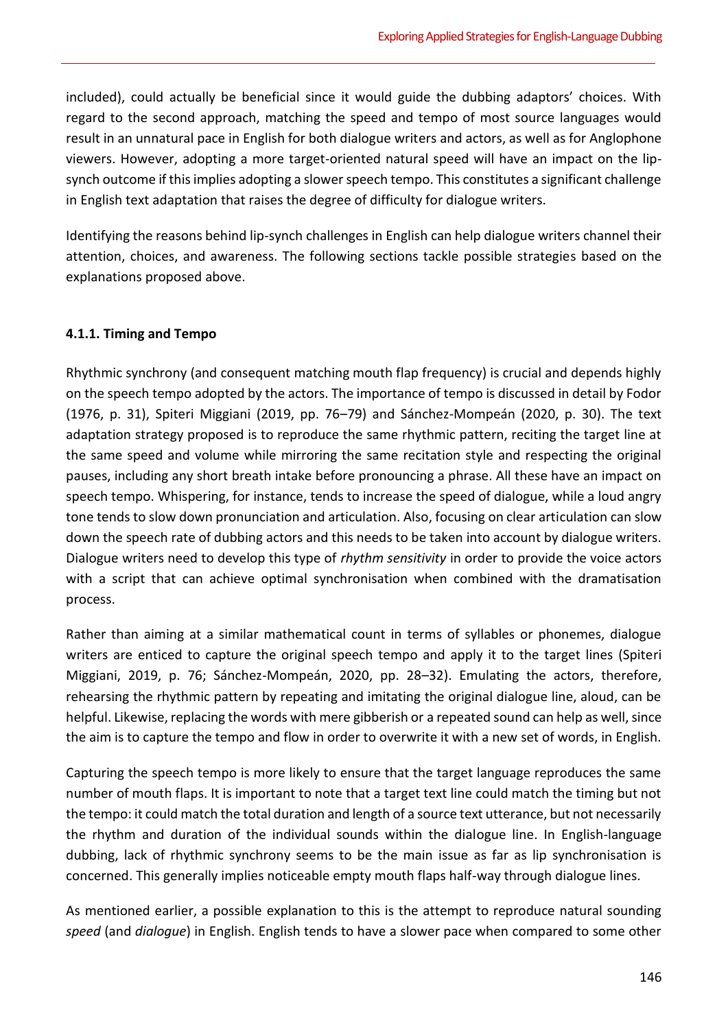included), could actually be beneficial since it would guide the dubbing adaptors' choices. With regard to the second approach, matching the speed and tempo of most source languages would result in an unnatural pace in English for both dialogue writers and actors, as well as for Anglophone viewers. However, adopting a more target-oriented natural speed will have an impact on the lipsynch outcome if this implies adopting a slower speech tempo. This constitutes a significant challenge in English text adaptation that raises the degree of difficulty for dialogue writers.

Identifying the reasons behind lip-synch challenges in English can help dialogue writers channel their attention, choices, and awareness. The following sections tackle possible strategies based on the explanations proposed above.

## **4.1.1. Timing and Tempo**

Rhythmic synchrony (and consequent matching mouth flap frequency) is crucial and depends highly on the speech tempo adopted by the actors. The importance of tempo is discussed in detail by Fodor (1976, p. 31), Spiteri Miggiani (2019, pp. 76–79) and Sánchez-Mompeán (2020, p. 30). The text adaptation strategy proposed is to reproduce the same rhythmic pattern, reciting the target line at the same speed and volume while mirroring the same recitation style and respecting the original pauses, including any short breath intake before pronouncing a phrase. All these have an impact on speech tempo. Whispering, for instance, tends to increase the speed of dialogue, while a loud angry tone tends to slow down pronunciation and articulation. Also, focusing on clear articulation can slow down the speech rate of dubbing actors and this needs to be taken into account by dialogue writers. Dialogue writers need to develop this type of *rhythm sensitivity* in order to provide the voice actors with a script that can achieve optimal synchronisation when combined with the dramatisation process.

Rather than aiming at a similar mathematical count in terms of syllables or phonemes, dialogue writers are enticed to capture the original speech tempo and apply it to the target lines (Spiteri Miggiani, 2019, p. 76; Sánchez-Mompeán, 2020, pp. 28–32). Emulating the actors, therefore, rehearsing the rhythmic pattern by repeating and imitating the original dialogue line, aloud, can be helpful. Likewise, replacing the words with mere gibberish or a repeated sound can help as well, since the aim is to capture the tempo and flow in order to overwrite it with a new set of words, in English.

Capturing the speech tempo is more likely to ensure that the target language reproduces the same number of mouth flaps. It is important to note that a target text line could match the timing but not the tempo: it could match the total duration and length of a source text utterance, but not necessarily the rhythm and duration of the individual sounds within the dialogue line. In English-language dubbing, lack of rhythmic synchrony seems to be the main issue as far as lip synchronisation is concerned. This generally implies noticeable empty mouth flaps half-way through dialogue lines.

As mentioned earlier, a possible explanation to this is the attempt to reproduce natural sounding *speed* (and *dialogue*) in English. English tends to have a slower pace when compared to some other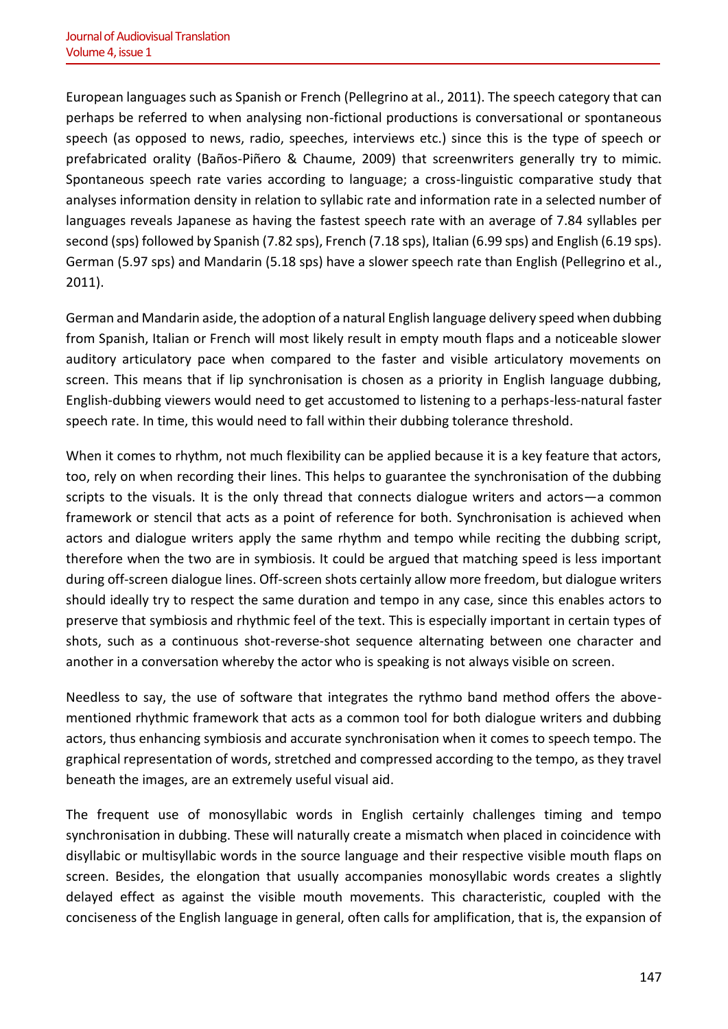European languages such as Spanish or French (Pellegrino at al., 2011). The speech category that can perhaps be referred to when analysing non-fictional productions is conversational or spontaneous speech (as opposed to news, radio, speeches, interviews etc.) since this is the type of speech or prefabricated orality (Baños-Piñero & Chaume, 2009) that screenwriters generally try to mimic. Spontaneous speech rate varies according to language; a cross-linguistic comparative study that analyses information density in relation to syllabic rate and information rate in a selected number of languages reveals Japanese as having the fastest speech rate with an average of 7.84 syllables per second (sps) followed by Spanish (7.82 sps), French (7.18 sps), Italian (6.99 sps) and English (6.19 sps). German (5.97 sps) and Mandarin (5.18 sps) have a slower speech rate than English (Pellegrino et al., 2011).

German and Mandarin aside, the adoption of a natural English language delivery speed when dubbing from Spanish, Italian or French will most likely result in empty mouth flaps and a noticeable slower auditory articulatory pace when compared to the faster and visible articulatory movements on screen. This means that if lip synchronisation is chosen as a priority in English language dubbing, English-dubbing viewers would need to get accustomed to listening to a perhaps-less-natural faster speech rate. In time, this would need to fall within their dubbing tolerance threshold.

When it comes to rhythm, not much flexibility can be applied because it is a key feature that actors, too, rely on when recording their lines. This helps to guarantee the synchronisation of the dubbing scripts to the visuals. It is the only thread that connects dialogue writers and actors—a common framework or stencil that acts as a point of reference for both. Synchronisation is achieved when actors and dialogue writers apply the same rhythm and tempo while reciting the dubbing script, therefore when the two are in symbiosis. It could be argued that matching speed is less important during off-screen dialogue lines. Off-screen shots certainly allow more freedom, but dialogue writers should ideally try to respect the same duration and tempo in any case, since this enables actors to preserve that symbiosis and rhythmic feel of the text. This is especially important in certain types of shots, such as a continuous shot-reverse-shot sequence alternating between one character and another in a conversation whereby the actor who is speaking is not always visible on screen.

Needless to say, the use of software that integrates the rythmo band method offers the abovementioned rhythmic framework that acts as a common tool for both dialogue writers and dubbing actors, thus enhancing symbiosis and accurate synchronisation when it comes to speech tempo. The graphical representation of words, stretched and compressed according to the tempo, as they travel beneath the images, are an extremely useful visual aid.

The frequent use of monosyllabic words in English certainly challenges timing and tempo synchronisation in dubbing. These will naturally create a mismatch when placed in coincidence with disyllabic or multisyllabic words in the source language and their respective visible mouth flaps on screen. Besides, the elongation that usually accompanies monosyllabic words creates a slightly delayed effect as against the visible mouth movements. This characteristic, coupled with the conciseness of the English language in general, often calls for amplification, that is, the expansion of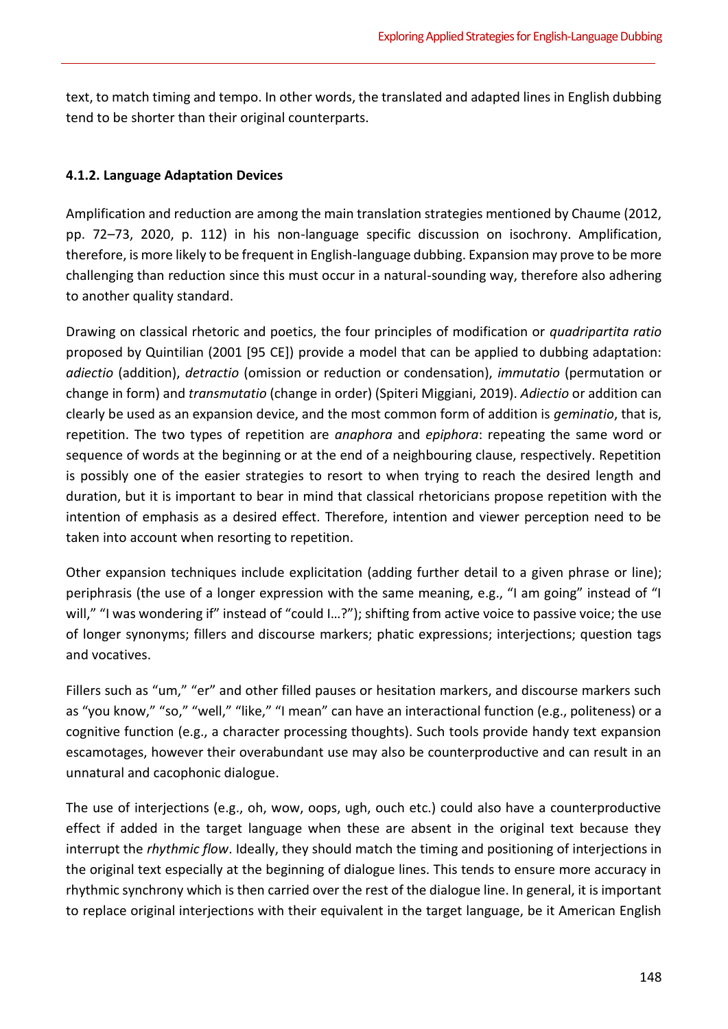text, to match timing and tempo. In other words, the translated and adapted lines in English dubbing tend to be shorter than their original counterparts.

# **4.1.2. Language Adaptation Devices**

Amplification and reduction are among the main translation strategies mentioned by Chaume (2012, pp. 72–73, 2020, p. 112) in his non-language specific discussion on isochrony. Amplification, therefore, is more likely to be frequent in English-language dubbing. Expansion may prove to be more challenging than reduction since this must occur in a natural-sounding way, therefore also adhering to another quality standard.

Drawing on classical rhetoric and poetics, the four principles of modification or *quadripartita ratio*  proposed by Quintilian (2001 [95 CE]) provide a model that can be applied to dubbing adaptation: *adiectio* (addition), *detractio* (omission or reduction or condensation), *immutatio* (permutation or change in form) and *transmutatio* (change in order) (Spiteri Miggiani, 2019). *Adiectio* or addition can clearly be used as an expansion device, and the most common form of addition is *geminatio*, that is, repetition. The two types of repetition are *anaphora* and *epiphora*: repeating the same word or sequence of words at the beginning or at the end of a neighbouring clause, respectively. Repetition is possibly one of the easier strategies to resort to when trying to reach the desired length and duration, but it is important to bear in mind that classical rhetoricians propose repetition with the intention of emphasis as a desired effect. Therefore, intention and viewer perception need to be taken into account when resorting to repetition.

Other expansion techniques include explicitation (adding further detail to a given phrase or line); periphrasis (the use of a longer expression with the same meaning, e.g., "I am going" instead of "I will," "I was wondering if" instead of "could I...?"); shifting from active voice to passive voice; the use of longer synonyms; fillers and discourse markers; phatic expressions; interjections; question tags and vocatives.

Fillers such as "um," "er" and other filled pauses or hesitation markers, and discourse markers such as "you know," "so," "well," "like," "I mean" can have an interactional function (e.g., politeness) or a cognitive function (e.g., a character processing thoughts). Such tools provide handy text expansion escamotages, however their overabundant use may also be counterproductive and can result in an unnatural and cacophonic dialogue.

The use of interjections (e.g., oh, wow, oops, ugh, ouch etc.) could also have a counterproductive effect if added in the target language when these are absent in the original text because they interrupt the *rhythmic flow*. Ideally, they should match the timing and positioning of interjections in the original text especially at the beginning of dialogue lines. This tends to ensure more accuracy in rhythmic synchrony which is then carried over the rest of the dialogue line. In general, it is important to replace original interjections with their equivalent in the target language, be it American English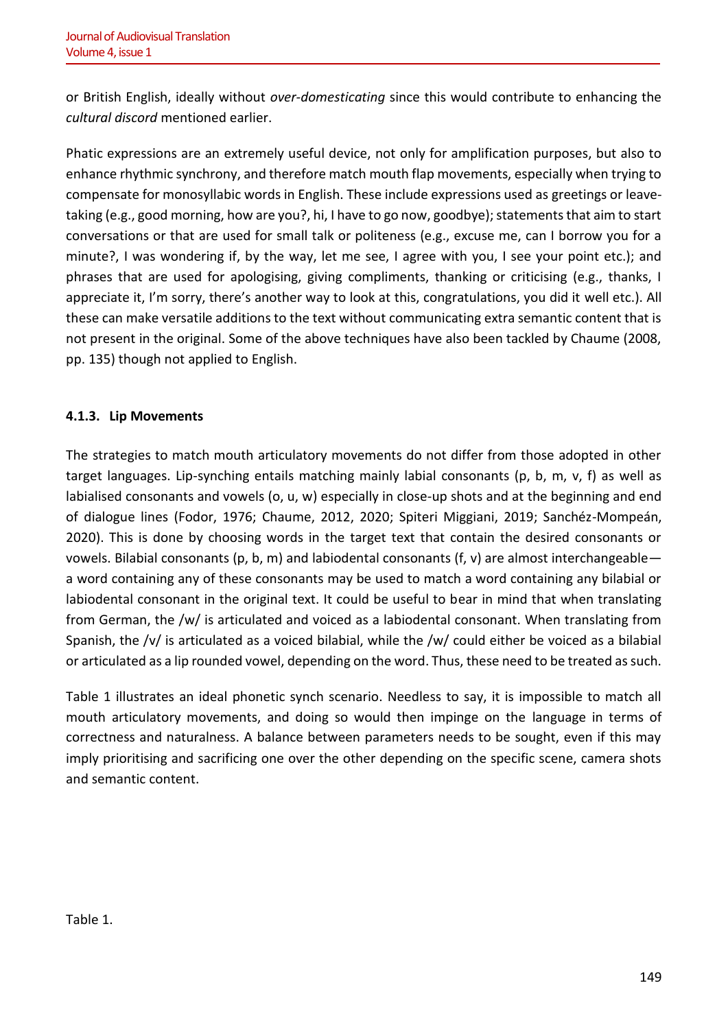or British English, ideally without *over-domesticating* since this would contribute to enhancing the *cultural discord* mentioned earlier.

Phatic expressions are an extremely useful device, not only for amplification purposes, but also to enhance rhythmic synchrony, and therefore match mouth flap movements, especially when trying to compensate for monosyllabic words in English. These include expressions used as greetings or leavetaking (e.g., good morning, how are you?, hi, I have to go now, goodbye); statements that aim to start conversations or that are used for small talk or politeness (e.g., excuse me, can I borrow you for a minute?, I was wondering if, by the way, let me see, I agree with you, I see your point etc.); and phrases that are used for apologising, giving compliments, thanking or criticising (e.g., thanks, I appreciate it, I'm sorry, there's another way to look at this, congratulations, you did it well etc.). All these can make versatile additions to the text without communicating extra semantic content that is not present in the original. Some of the above techniques have also been tackled by Chaume (2008, pp. 135) though not applied to English.

# **4.1.3. Lip Movements**

The strategies to match mouth articulatory movements do not differ from those adopted in other target languages. Lip-synching entails matching mainly labial consonants (p, b, m, v, f) as well as labialised consonants and vowels (o, u, w) especially in close-up shots and at the beginning and end of dialogue lines (Fodor, 1976; Chaume, 2012, 2020; Spiteri Miggiani, 2019; Sanchéz-Mompeán, 2020). This is done by choosing words in the target text that contain the desired consonants or vowels. Bilabial consonants (p, b, m) and labiodental consonants (f, v) are almost interchangeable a word containing any of these consonants may be used to match a word containing any bilabial or labiodental consonant in the original text. It could be useful to bear in mind that when translating from German, the /w/ is articulated and voiced as a labiodental consonant. When translating from Spanish, the /v/ is articulated as a voiced bilabial, while the /w/ could either be voiced as a bilabial or articulated as a lip rounded vowel, depending on the word. Thus, these need to be treated as such.

Table 1 illustrates an ideal phonetic synch scenario. Needless to say, it is impossible to match all mouth articulatory movements, and doing so would then impinge on the language in terms of correctness and naturalness. A balance between parameters needs to be sought, even if this may imply prioritising and sacrificing one over the other depending on the specific scene, camera shots and semantic content.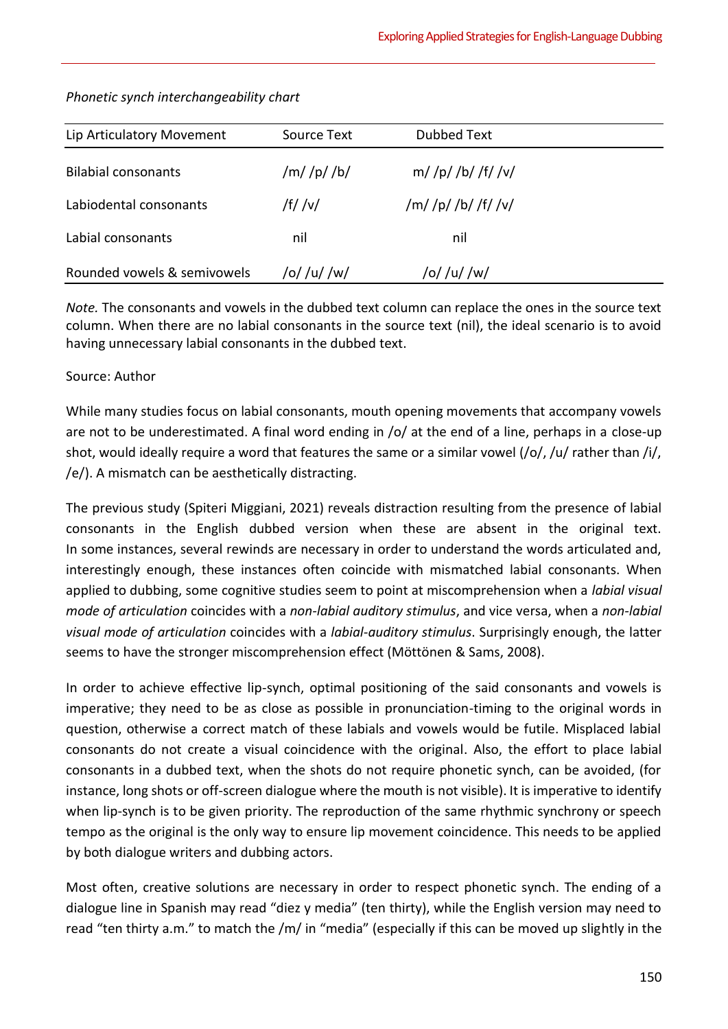| Lip Articulatory Movement   | Source Text   | Dubbed Text           |  |
|-----------------------------|---------------|-----------------------|--|
| <b>Bilabial consonants</b>  | $/m/$ /p/ /b/ | $m/$ /p/ /b/ /f/ /v/  |  |
| Labiodental consonants      | /f/ /v/       | $/m/$ /p/ /b/ /f/ /v/ |  |
| Labial consonants           | nil           | nil                   |  |
| Rounded vowels & semivowels | /o/ /u/ /w/   | /o/ /u/ /w/           |  |

## *Phonetic synch interchangeability chart*

*Note.* The consonants and vowels in the dubbed text column can replace the ones in the source text column. When there are no labial consonants in the source text (nil), the ideal scenario is to avoid having unnecessary labial consonants in the dubbed text.

# Source: Author

While many studies focus on labial consonants, mouth opening movements that accompany vowels are not to be underestimated. A final word ending in /o/ at the end of a line, perhaps in a close-up shot, would ideally require a word that features the same or a similar vowel (/o/, /u/ rather than /i/, /e/). A mismatch can be aesthetically distracting.

The previous study (Spiteri Miggiani, 2021) reveals distraction resulting from the presence of labial consonants in the English dubbed version when these are absent in the original text. In some instances, several rewinds are necessary in order to understand the words articulated and, interestingly enough, these instances often coincide with mismatched labial consonants. When applied to dubbing, some cognitive studies seem to point at miscomprehension when a *labial visual mode of articulation* coincides with a *non-labial auditory stimulus*, and vice versa, when a *non-labial visual mode of articulation* coincides with a *labial-auditory stimulus*. Surprisingly enough, the latter seems to have the stronger miscomprehension effect (Möttönen & Sams, 2008).

In order to achieve effective lip-synch, optimal positioning of the said consonants and vowels is imperative; they need to be as close as possible in pronunciation-timing to the original words in question, otherwise a correct match of these labials and vowels would be futile. Misplaced labial consonants do not create a visual coincidence with the original. Also, the effort to place labial consonants in a dubbed text, when the shots do not require phonetic synch, can be avoided, (for instance, long shots or off-screen dialogue where the mouth is not visible). It is imperative to identify when lip-synch is to be given priority. The reproduction of the same rhythmic synchrony or speech tempo as the original is the only way to ensure lip movement coincidence. This needs to be applied by both dialogue writers and dubbing actors.

Most often, creative solutions are necessary in order to respect phonetic synch. The ending of a dialogue line in Spanish may read "diez y media" (ten thirty), while the English version may need to read "ten thirty a.m." to match the /m/ in "media" (especially if this can be moved up slightly in the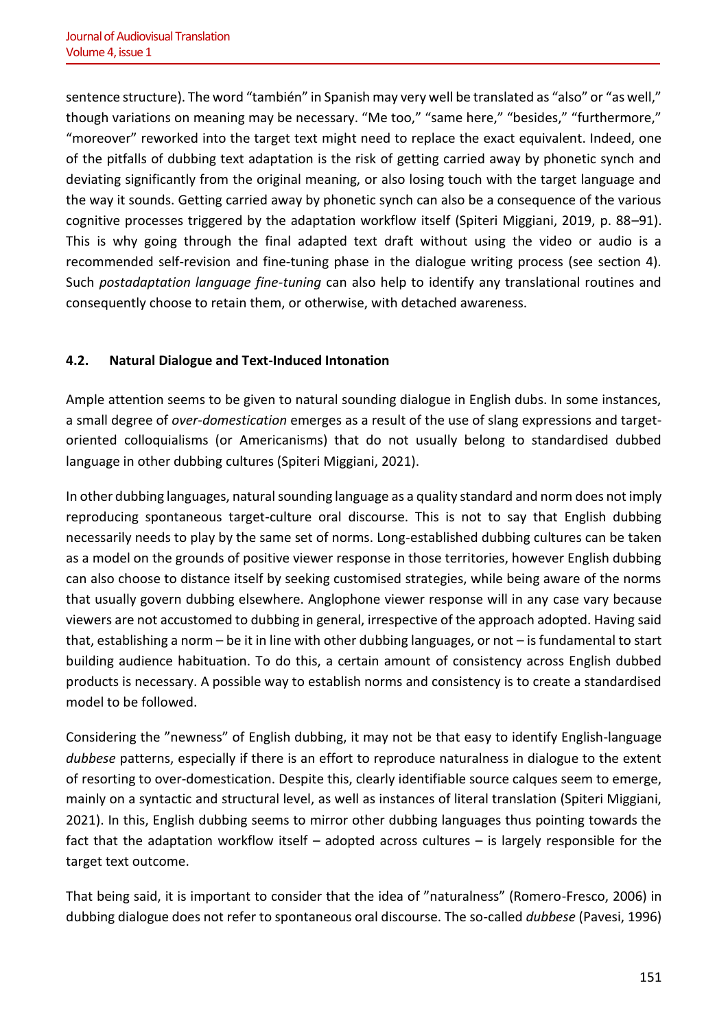sentence structure). The word "también" in Spanish may very well be translated as "also" or "as well," though variations on meaning may be necessary. "Me too," "same here," "besides," "furthermore," "moreover" reworked into the target text might need to replace the exact equivalent. Indeed, one of the pitfalls of dubbing text adaptation is the risk of getting carried away by phonetic synch and deviating significantly from the original meaning, or also losing touch with the target language and the way it sounds. Getting carried away by phonetic synch can also be a consequence of the various cognitive processes triggered by the adaptation workflow itself (Spiteri Miggiani, 2019, p. 88–91). This is why going through the final adapted text draft without using the video or audio is a recommended self-revision and fine-tuning phase in the dialogue writing process (see section 4). Such *postadaptation language fine-tuning* can also help to identify any translational routines and consequently choose to retain them, or otherwise, with detached awareness.

# **4.2. Natural Dialogue and Text-Induced Intonation**

Ample attention seems to be given to natural sounding dialogue in English dubs. In some instances, a small degree of *over-domestication* emerges as a result of the use of slang expressions and targetoriented colloquialisms (or Americanisms) that do not usually belong to standardised dubbed language in other dubbing cultures (Spiteri Miggiani, 2021).

In other dubbing languages, natural sounding language as a quality standard and norm does not imply reproducing spontaneous target-culture oral discourse. This is not to say that English dubbing necessarily needs to play by the same set of norms. Long-established dubbing cultures can be taken as a model on the grounds of positive viewer response in those territories, however English dubbing can also choose to distance itself by seeking customised strategies, while being aware of the norms that usually govern dubbing elsewhere. Anglophone viewer response will in any case vary because viewers are not accustomed to dubbing in general, irrespective of the approach adopted. Having said that, establishing a norm – be it in line with other dubbing languages, or not – is fundamental to start building audience habituation. To do this, a certain amount of consistency across English dubbed products is necessary. A possible way to establish norms and consistency is to create a standardised model to be followed.

Considering the "newness" of English dubbing, it may not be that easy to identify English-language *dubbese* patterns, especially if there is an effort to reproduce naturalness in dialogue to the extent of resorting to over-domestication. Despite this, clearly identifiable source calques seem to emerge, mainly on a syntactic and structural level, as well as instances of literal translation (Spiteri Miggiani, 2021). In this, English dubbing seems to mirror other dubbing languages thus pointing towards the fact that the adaptation workflow itself – adopted across cultures – is largely responsible for the target text outcome.

That being said, it is important to consider that the idea of "naturalness" (Romero-Fresco, 2006) in dubbing dialogue does not refer to spontaneous oral discourse. The so-called *dubbese* (Pavesi, 1996)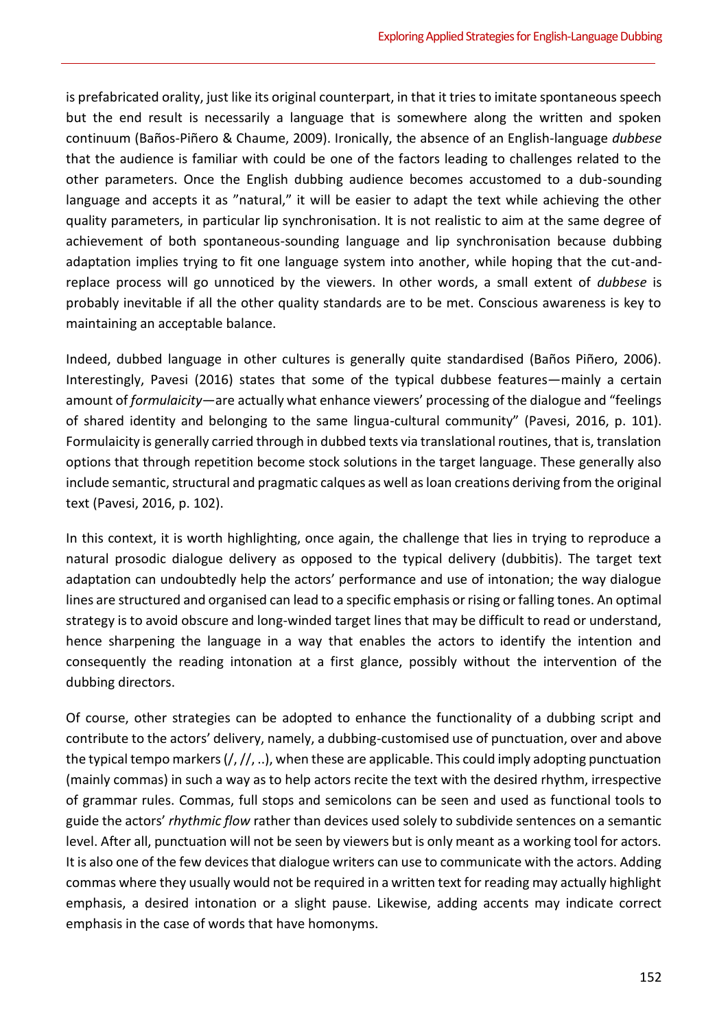is prefabricated orality, just like its original counterpart, in that it tries to imitate spontaneous speech but the end result is necessarily a language that is somewhere along the written and spoken continuum (Baños-Piñero & Chaume, 2009). Ironically, the absence of an English-language *dubbese* that the audience is familiar with could be one of the factors leading to challenges related to the other parameters. Once the English dubbing audience becomes accustomed to a dub-sounding language and accepts it as "natural," it will be easier to adapt the text while achieving the other quality parameters, in particular lip synchronisation. It is not realistic to aim at the same degree of achievement of both spontaneous-sounding language and lip synchronisation because dubbing adaptation implies trying to fit one language system into another, while hoping that the cut-andreplace process will go unnoticed by the viewers. In other words, a small extent of *dubbese* is probably inevitable if all the other quality standards are to be met. Conscious awareness is key to maintaining an acceptable balance.

Indeed, dubbed language in other cultures is generally quite standardised (Baños Piñero, 2006). Interestingly, Pavesi (2016) states that some of the typical dubbese features—mainly a certain amount of *formulaicity*—are actually what enhance viewers' processing of the dialogue and "feelings of shared identity and belonging to the same lingua-cultural community" (Pavesi, 2016, p. 101). Formulaicity is generally carried through in dubbed texts via translational routines, that is, translation options that through repetition become stock solutions in the target language. These generally also include semantic, structural and pragmatic calques as well as loan creations deriving from the original text (Pavesi, 2016, p. 102).

In this context, it is worth highlighting, once again, the challenge that lies in trying to reproduce a natural prosodic dialogue delivery as opposed to the typical delivery (dubbitis). The target text adaptation can undoubtedly help the actors' performance and use of intonation; the way dialogue lines are structured and organised can lead to a specific emphasis or rising or falling tones. An optimal strategy is to avoid obscure and long-winded target lines that may be difficult to read or understand, hence sharpening the language in a way that enables the actors to identify the intention and consequently the reading intonation at a first glance, possibly without the intervention of the dubbing directors.

Of course, other strategies can be adopted to enhance the functionality of a dubbing script and contribute to the actors' delivery, namely, a dubbing-customised use of punctuation, over and above the typical tempo markers (/, //, ..), when these are applicable. This could imply adopting punctuation (mainly commas) in such a way as to help actors recite the text with the desired rhythm, irrespective of grammar rules. Commas, full stops and semicolons can be seen and used as functional tools to guide the actors' *rhythmic flow* rather than devices used solely to subdivide sentences on a semantic level. After all, punctuation will not be seen by viewers but is only meant as a working tool for actors. It is also one of the few devices that dialogue writers can use to communicate with the actors. Adding commas where they usually would not be required in a written text for reading may actually highlight emphasis, a desired intonation or a slight pause. Likewise, adding accents may indicate correct emphasis in the case of words that have homonyms.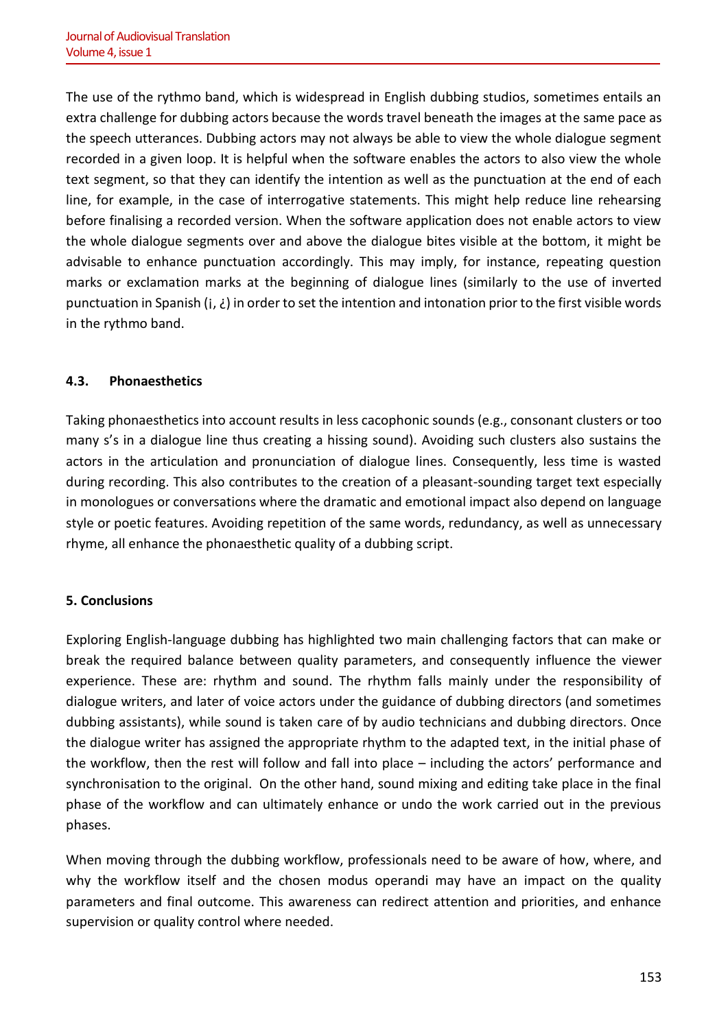The use of the rythmo band, which is widespread in English dubbing studios, sometimes entails an extra challenge for dubbing actors because the words travel beneath the images at the same pace as the speech utterances. Dubbing actors may not always be able to view the whole dialogue segment recorded in a given loop. It is helpful when the software enables the actors to also view the whole text segment, so that they can identify the intention as well as the punctuation at the end of each line, for example, in the case of interrogative statements. This might help reduce line rehearsing before finalising a recorded version. When the software application does not enable actors to view the whole dialogue segments over and above the dialogue bites visible at the bottom, it might be advisable to enhance punctuation accordingly. This may imply, for instance, repeating question marks or exclamation marks at the beginning of dialogue lines (similarly to the use of inverted punctuation in Spanish ( $j$ ,  $\zeta$ ) in order to set the intention and intonation prior to the first visible words in the rythmo band.

# **4.3. Phonaesthetics**

Taking phonaesthetics into account results in less cacophonic sounds (e.g., consonant clusters or too many s's in a dialogue line thus creating a hissing sound). Avoiding such clusters also sustains the actors in the articulation and pronunciation of dialogue lines. Consequently, less time is wasted during recording. This also contributes to the creation of a pleasant-sounding target text especially in monologues or conversations where the dramatic and emotional impact also depend on language style or poetic features. Avoiding repetition of the same words, redundancy, as well as unnecessary rhyme, all enhance the phonaesthetic quality of a dubbing script.

# **5. Conclusions**

Exploring English-language dubbing has highlighted two main challenging factors that can make or break the required balance between quality parameters, and consequently influence the viewer experience. These are: rhythm and sound. The rhythm falls mainly under the responsibility of dialogue writers, and later of voice actors under the guidance of dubbing directors (and sometimes dubbing assistants), while sound is taken care of by audio technicians and dubbing directors. Once the dialogue writer has assigned the appropriate rhythm to the adapted text, in the initial phase of the workflow, then the rest will follow and fall into place – including the actors' performance and synchronisation to the original. On the other hand, sound mixing and editing take place in the final phase of the workflow and can ultimately enhance or undo the work carried out in the previous phases.

When moving through the dubbing workflow, professionals need to be aware of how, where, and why the workflow itself and the chosen modus operandi may have an impact on the quality parameters and final outcome. This awareness can redirect attention and priorities, and enhance supervision or quality control where needed.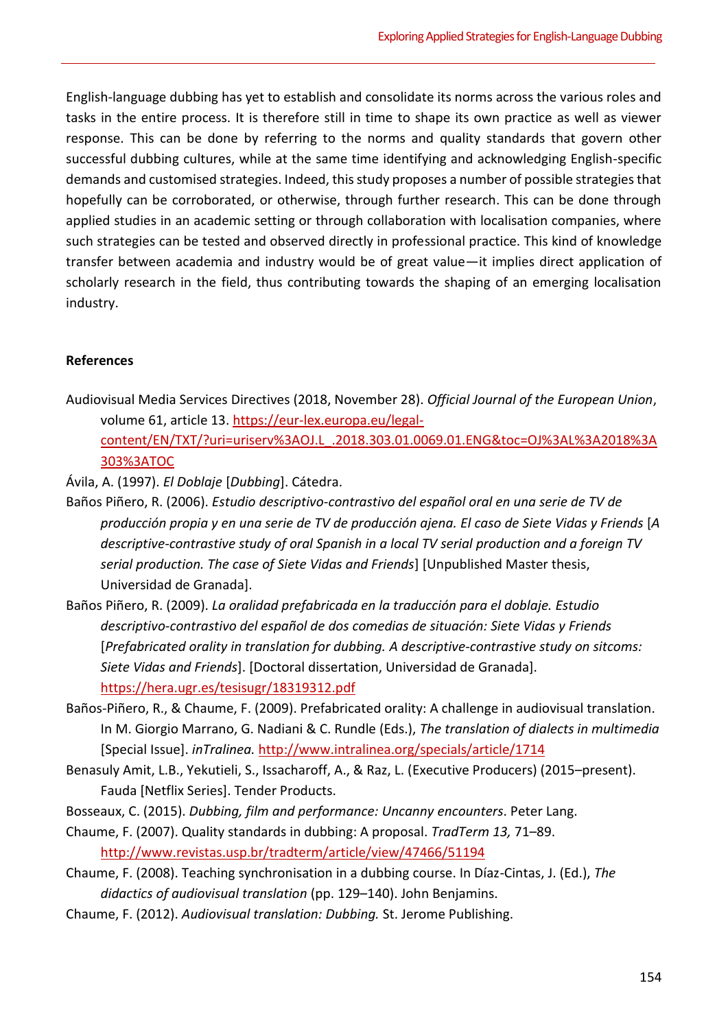English-language dubbing has yet to establish and consolidate its norms across the various roles and tasks in the entire process. It is therefore still in time to shape its own practice as well as viewer response. This can be done by referring to the norms and quality standards that govern other successful dubbing cultures, while at the same time identifying and acknowledging English-specific demands and customised strategies. Indeed, this study proposes a number of possible strategies that hopefully can be corroborated, or otherwise, through further research. This can be done through applied studies in an academic setting or through collaboration with localisation companies, where such strategies can be tested and observed directly in professional practice. This kind of knowledge transfer between academia and industry would be of great value—it implies direct application of scholarly research in the field, thus contributing towards the shaping of an emerging localisation industry.

#### **References**

Audiovisual Media Services Directives (2018, November 28). *Official Journal of the European Union*, volume 61, article 13. [https://eur-lex.europa.eu/legal](https://eur-lex.europa.eu/legal-content/EN/TXT/?uri=uriserv%3AOJ.L_.2018.303.01.0069.01.ENG&toc=OJ%3AL%3A2018%3A303%3ATOC%20%20%20%20%20%20%20%20%20%20%20%20%20%20%20%20%20%20%20%20%20%20%20%20%20%20%20%20%20%20%20%20%20%20%20%20%20%20%20%20%20%20%20%20%20%20%20%20%20%20%20%20%20%20%20%20%20%20%20%20%20%20%20%20%20)[content/EN/TXT/?uri=uriserv%3AOJ.L\\_.2018.303.01.0069.01.ENG&toc=OJ%3AL%3A2018%3A](https://eur-lex.europa.eu/legal-content/EN/TXT/?uri=uriserv%3AOJ.L_.2018.303.01.0069.01.ENG&toc=OJ%3AL%3A2018%3A303%3ATOC%20%20%20%20%20%20%20%20%20%20%20%20%20%20%20%20%20%20%20%20%20%20%20%20%20%20%20%20%20%20%20%20%20%20%20%20%20%20%20%20%20%20%20%20%20%20%20%20%20%20%20%20%20%20%20%20%20%20%20%20%20%20%20%20%20) [303%3ATOC](https://eur-lex.europa.eu/legal-content/EN/TXT/?uri=uriserv%3AOJ.L_.2018.303.01.0069.01.ENG&toc=OJ%3AL%3A2018%3A303%3ATOC%20%20%20%20%20%20%20%20%20%20%20%20%20%20%20%20%20%20%20%20%20%20%20%20%20%20%20%20%20%20%20%20%20%20%20%20%20%20%20%20%20%20%20%20%20%20%20%20%20%20%20%20%20%20%20%20%20%20%20%20%20%20%20%20%20) 

Ávila, A. (1997). *El Doblaje* [*Dubbing*]. Cátedra.

- Baños Piñero, R. (2006). *Estudio descriptivo-contrastivo del español oral en una serie de TV de producción propia y en una serie de TV de producción ajena. El caso de Siete Vidas y Friends* [*A descriptive-contrastive study of oral Spanish in a local TV serial production and a foreign TV serial production. The case of Siete Vidas and Friends*] [Unpublished Master thesis, Universidad de Granada].
- Baños Piñero, R. (2009). *La oralidad prefabricada en la traducción para el doblaje. Estudio descriptivo-contrastivo del español de dos comedias de situación: Siete Vidas y Friends*  [*Prefabricated orality in translation for dubbing. A descriptive-contrastive study on sitcoms: Siete Vidas and Friends*]. [Doctoral dissertation, Universidad de Granada]. <https://hera.ugr.es/tesisugr/18319312.pdf>
- Baños-Piñero, R., & Chaume, F. (2009). Prefabricated orality: A challenge in audiovisual translation. In M. Giorgio Marrano, G. Nadiani & C. Rundle (Eds.), *The translation of dialects in multimedia* [Special Issue]. *inTralinea.* [http://www.intralinea.org/specials/article/1714](http://hdl.handle.net/10803/8185)
- Benasuly Amit, L.B., Yekutieli, S., Issacharoff, A., & Raz, L. (Executive Producers) (2015–present). Fauda [Netflix Series]. Tender Products.
- Bosseaux, C. (2015). *Dubbing, film and performance: Uncanny encounters*. Peter Lang.
- Chaume, F. (2007). Quality standards in dubbing: A proposal. *TradTerm 13,* 71–89. <http://www.revistas.usp.br/tradterm/article/view/47466/51194>
- Chaume, F. (2008). Teaching synchronisation in a dubbing course. In Díaz-Cintas, J. (Ed.), *The didactics of audiovisual translation* (pp. 129–140). John Benjamins.
- Chaume, F. (2012). *Audiovisual translation: Dubbing.* St. Jerome Publishing.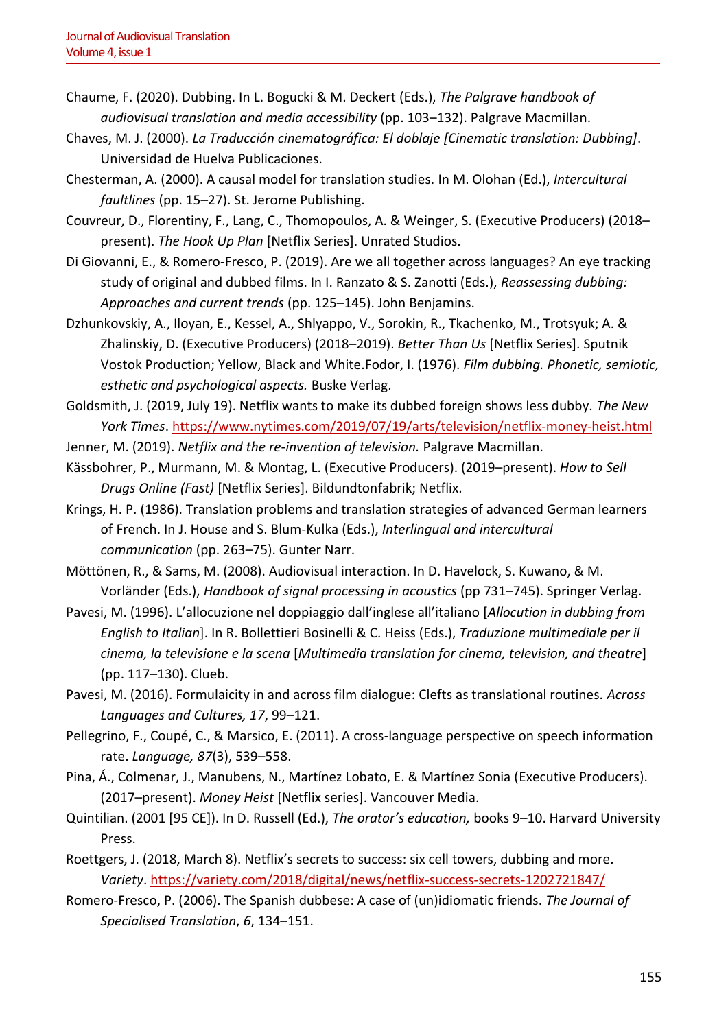- Chaume, F. (2020). Dubbing. In L. Bogucki & M. Deckert (Eds.), *The Palgrave handbook of audiovisual translation and media accessibility* (pp. 103–132). Palgrave Macmillan.
- Chaves, M. J. (2000). *La Traducción cinematográfica: El doblaje [Cinematic translation: Dubbing]*. Universidad de Huelva Publicaciones.
- Chesterman, A. (2000). A causal model for translation studies. In M. Olohan (Ed.), *Intercultural faultlines* (pp. 15–27). St. Jerome Publishing.
- Couvreur, D., Florentiny, F., Lang, C., Thomopoulos, A. & Weinger, S. (Executive Producers) (2018– present). *The Hook Up Plan* [Netflix Series]. Unrated Studios.
- Di Giovanni, E., & Romero-Fresco, P. (2019). Are we all together across languages? An eye tracking study of original and dubbed films. In I. Ranzato & S. Zanotti (Eds.), *Reassessing dubbing: Approaches and current trends* (pp. 125–145). John Benjamins.
- Dzhunkovskiy, A., Iloyan, E., Kessel, A., Shlyappo, V., Sorokin, R., Tkachenko, M., Trotsyuk; A. & Zhalinskiy, D. (Executive Producers) (2018–2019). *Better Than Us* [Netflix Series]. Sputnik Vostok Production; Yellow, Black and White.Fodor, I. (1976). *Film dubbing. Phonetic, semiotic, esthetic and psychological aspects.* Buske Verlag.
- Goldsmith, J. (2019, July 19). Netflix wants to make its dubbed foreign shows less dubby*. The New York Times*.<https://www.nytimes.com/2019/07/19/arts/television/netflix-money-heist.html>
- Jenner, M. (2019). *Netflix and the re-invention of television.* Palgrave Macmillan.
- Kässbohrer, P., Murmann, M. & Montag, L. (Executive Producers). (2019–present). *How to Sell Drugs Online (Fast)* [Netflix Series]. Bildundtonfabrik; Netflix.
- Krings, H. P. (1986). Translation problems and translation strategies of advanced German learners of French. In J. House and S. Blum-Kulka (Eds.), *Interlingual and intercultural communication* (pp. 263–75). Gunter Narr.
- Möttönen, R., & Sams, M. (2008). Audiovisual interaction. In D. Havelock, S. Kuwano, & M. Vorländer (Eds.), *Handbook of signal processing in acoustics* (pp 731–745). Springer Verlag.
- Pavesi, M. (1996). L'allocuzione nel doppiaggio dall'inglese all'italiano [*Allocution in dubbing from English to Italian*]. In R. Bollettieri Bosinelli & C. Heiss (Eds.), *Traduzione multimediale per il cinema, la televisione e la scena* [*Multimedia translation for cinema, television, and theatre*] (pp. 117–130). Clueb.
- Pavesi, M. (2016). Formulaicity in and across film dialogue: Clefts as translational routines. *Across Languages and Cultures, 17*, 99–121.
- Pellegrino, F., Coupé, C., & Marsico, E. (2011). A cross-language perspective on speech information rate. *Language, 87*(3), 539–558.
- Pina, Á., Colmenar, J., Manubens, N., Martínez Lobato, E. & Martínez Sonia (Executive Producers). (2017–present). *Money Heist* [Netflix series]. Vancouver Media.
- Quintilian. (2001 [95 CE]). In D. Russell (Ed.), *The orator's education,* books 9–10. Harvard University Press.
- Roettgers, J. (2018, March 8). Netflix's secrets to success: six cell towers, dubbing and more*. Variety*.<https://variety.com/2018/digital/news/netflix-success-secrets-1202721847/>
- Romero-Fresco, P. (2006). The Spanish dubbese: A case of (un)idiomatic friends. *The Journal of Specialised Translation*, *6*, 134–151.